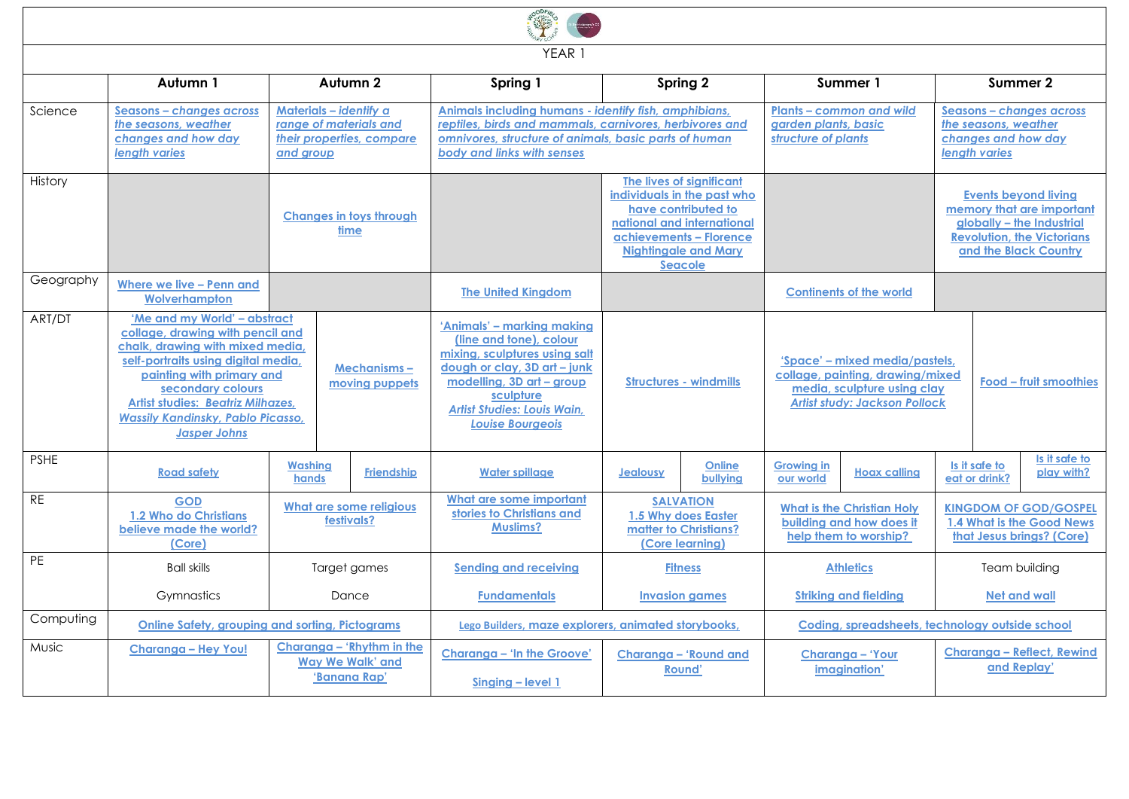

YEAR 1

|              | Autumn 1                                                                                                                                                                                                                                                                                                     | Autumn 2                                                                                   | Spring 1                                                                                                                                                                                                                          | Spring 2                                                                                                                                                                                 | Summer 1                                                                                                                                  | Summer 2                                                                                                                                            |  |  |
|--------------|--------------------------------------------------------------------------------------------------------------------------------------------------------------------------------------------------------------------------------------------------------------------------------------------------------------|--------------------------------------------------------------------------------------------|-----------------------------------------------------------------------------------------------------------------------------------------------------------------------------------------------------------------------------------|------------------------------------------------------------------------------------------------------------------------------------------------------------------------------------------|-------------------------------------------------------------------------------------------------------------------------------------------|-----------------------------------------------------------------------------------------------------------------------------------------------------|--|--|
| Science      | Seasons - changes across<br>the seasons, weather<br>changes and how day<br><b>lenath varies</b>                                                                                                                                                                                                              | Materials - identify a<br>range of materials and<br>their properties, compare<br>and group | Animals including humans - identify fish, amphibians,<br>reptiles, birds and mammals, carnivores, herbivores and<br>omnivores, structure of animals, basic parts of human<br>body and links with senses                           |                                                                                                                                                                                          | <b>Plants - common and wild</b><br>garden plants, basic<br>structure of plants                                                            | Seasons - changes across<br>the seasons, weather<br>changes and how day<br>length varies                                                            |  |  |
| History      |                                                                                                                                                                                                                                                                                                              | <b>Changes in toys through</b><br>time                                                     |                                                                                                                                                                                                                                   | The lives of significant<br>individuals in the past who<br>have contributed to<br>national and international<br>achievements - Florence<br><b>Nightingale and Mary</b><br><b>Seacole</b> |                                                                                                                                           | <b>Events beyond living</b><br>memory that are important<br>alobally - the Industrial<br><b>Revolution, the Victorians</b><br>and the Black Country |  |  |
| Geography    | Where we live - Penn and<br>Wolverhampton                                                                                                                                                                                                                                                                    |                                                                                            | <b>The United Kinadom</b>                                                                                                                                                                                                         |                                                                                                                                                                                          | <b>Continents of the world</b>                                                                                                            |                                                                                                                                                     |  |  |
| ART/DT       | 'Me and my World' - abstract<br>collage, drawing with pencil and<br>chalk, drawing with mixed media,<br>self-portraits using digital media.<br>painting with primary and<br>secondary colours<br><b>Artist studies: Beatriz Milhazes,</b><br><b>Wassily Kandinsky, Pablo Picasso,</b><br><b>Jasper Johns</b> | <b>Mechanisms-</b><br>moving puppets                                                       | 'Animals' – markina makina<br>(line and tone), colour<br>mixing, sculptures using salt<br>dough or clay, 3D art - junk<br>modelling, 3D art - group<br>sculpture<br><b>Artist Studies: Louis Wain,</b><br><b>Louise Bourgeois</b> | <b>Structures - windmills</b>                                                                                                                                                            | 'Space' - mixed media/pastels,<br>collage, painting, drawing/mixed<br>media, sculpture using clay<br><b>Artist study: Jackson Pollock</b> | Food - fruit smoothies                                                                                                                              |  |  |
| <b>PSHE</b>  | <b>Road safety</b>                                                                                                                                                                                                                                                                                           | <b>Washing</b><br><b>Friendship</b><br>hands                                               | <b>Water spillage</b>                                                                                                                                                                                                             | Online<br><b>Jealousy</b><br>bullying                                                                                                                                                    | <b>Growing in</b><br><b>Hoax calling</b><br>our world                                                                                     | Is it safe to<br>Is it safe to<br>play with?<br>eat or drink?                                                                                       |  |  |
| <b>RE</b>    | <b>GOD</b><br>1.2 Who do Christians<br>believe made the world?<br>(Core)                                                                                                                                                                                                                                     | What are some religious<br>festivals?                                                      | What are some important<br>stories to Christians and<br><b>Muslims?</b>                                                                                                                                                           | <b>SALVATION</b><br>1.5 Why does Easter<br>matter to Christians?<br>(Core learning)                                                                                                      | <b>What is the Christian Holv</b><br>building and how does it<br>help them to worship?                                                    | <b>KINGDOM OF GOD/GOSPEL</b><br>1.4 What is the Good News<br>that Jesus brings? (Core)                                                              |  |  |
| PE           | <b>Ball skills</b>                                                                                                                                                                                                                                                                                           | Target games                                                                               | Sending and receiving                                                                                                                                                                                                             | <b>Fitness</b>                                                                                                                                                                           | <b>Athletics</b>                                                                                                                          | Team building                                                                                                                                       |  |  |
|              | Gymnastics                                                                                                                                                                                                                                                                                                   | Dance                                                                                      | <b>Fundamentals</b>                                                                                                                                                                                                               | <b>Invasion games</b>                                                                                                                                                                    | <b>Striking and fielding</b>                                                                                                              | <b>Net and wall</b>                                                                                                                                 |  |  |
| Computing    | Online Safety, arouping and sorting, Pictograms                                                                                                                                                                                                                                                              |                                                                                            | Lego Builders, maze explorers, animated storybooks,                                                                                                                                                                               |                                                                                                                                                                                          |                                                                                                                                           | Codina, spreadsheets, technology outside school                                                                                                     |  |  |
| <b>Music</b> | <b>Charanga - Hey You!</b>                                                                                                                                                                                                                                                                                   | Charanaa - 'Rhythm in the<br><b>Way We Walk' and</b><br>'Banana Rap'                       | Charanga - 'In the Groove'<br>Singing - level 1                                                                                                                                                                                   | Charanga - 'Round and<br>Round'                                                                                                                                                          | Charanga - 'Your<br>imagination'                                                                                                          | Charanga - Reflect, Rewind<br>and Replay'                                                                                                           |  |  |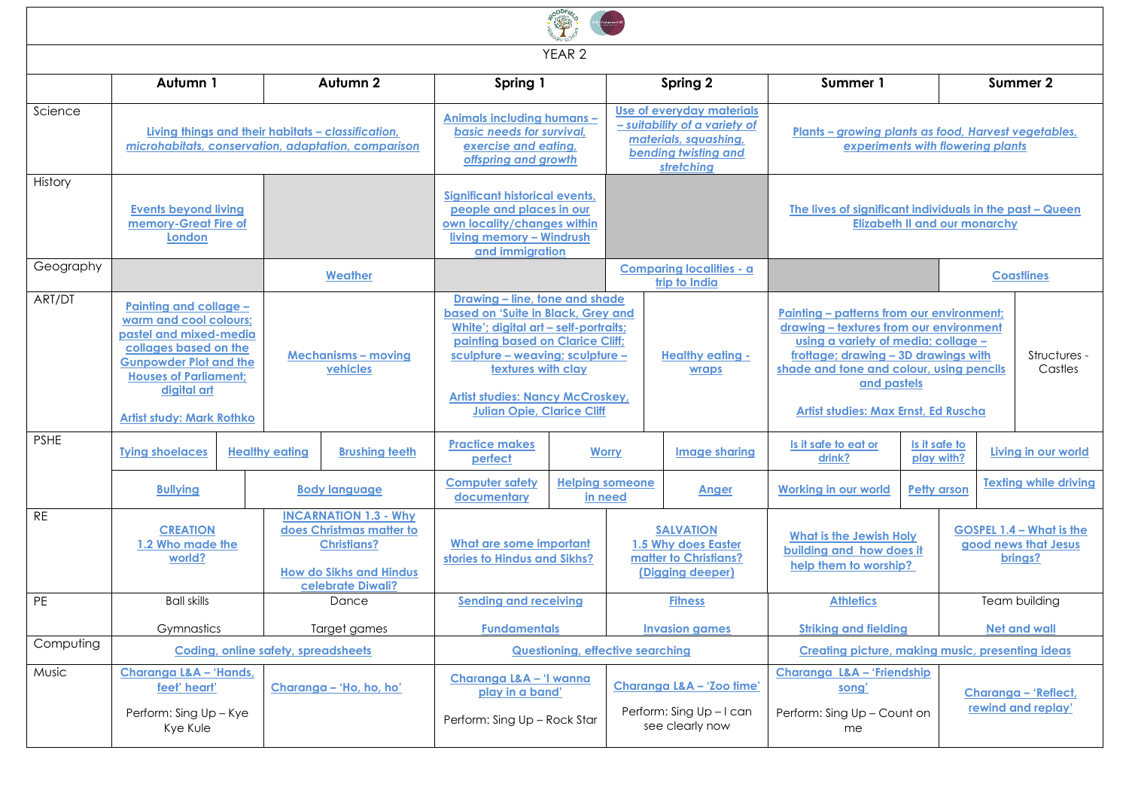|             |                                                                                                                                                                                                                         |                                                                                                                                       |                         |                                                                                                                                                                                                                                                                                             | YEAR <sub>2</sub>                       |                                                                                                                           |                                                  |                                                                                                                                                                                                                                                                        |          |                                                                    |                                            |
|-------------|-------------------------------------------------------------------------------------------------------------------------------------------------------------------------------------------------------------------------|---------------------------------------------------------------------------------------------------------------------------------------|-------------------------|---------------------------------------------------------------------------------------------------------------------------------------------------------------------------------------------------------------------------------------------------------------------------------------------|-----------------------------------------|---------------------------------------------------------------------------------------------------------------------------|--------------------------------------------------|------------------------------------------------------------------------------------------------------------------------------------------------------------------------------------------------------------------------------------------------------------------------|----------|--------------------------------------------------------------------|--------------------------------------------|
|             | Autumn 1                                                                                                                                                                                                                |                                                                                                                                       | Autumn 2                | Spring 1                                                                                                                                                                                                                                                                                    |                                         |                                                                                                                           | Spring 2                                         | Summer 1                                                                                                                                                                                                                                                               | Summer 2 |                                                                    |                                            |
| Science     | Livina thinas and their habitats - classification.<br>microhabitats, conservation, adaptation, comparison                                                                                                               |                                                                                                                                       |                         | Animals including humans -<br>basic needs for survival,<br>exercise and eating,<br>offspring and growth                                                                                                                                                                                     |                                         | Use of everyday materials<br>- suitability of a variety of<br>materials, squashing,<br>bending twisting and<br>stretching |                                                  | <b>Plants - growing plants as food, Harvest vegetables,</b><br>experiments with flowering plants                                                                                                                                                                       |          |                                                                    |                                            |
| History     | <b>Events beyond living</b><br>memory-Great Fire of<br>London                                                                                                                                                           |                                                                                                                                       |                         | Sianificant historical events.<br>people and places in our<br>own locality/changes within<br>living memory - Windrush<br>and immigration                                                                                                                                                    |                                         |                                                                                                                           |                                                  | The lives of significant individuals in the past - Queen<br><b>Elizabeth II and our monarchy</b>                                                                                                                                                                       |          |                                                                    |                                            |
| Geography   |                                                                                                                                                                                                                         |                                                                                                                                       | Weather                 |                                                                                                                                                                                                                                                                                             |                                         |                                                                                                                           | <b>Comparing localities - a</b><br>trip to India |                                                                                                                                                                                                                                                                        |          | <b>Coastlines</b>                                                  |                                            |
| ART/DT      | Painting and collage -<br>warm and cool colours;<br>pastel and mixed-media<br>collages based on the<br><b>Gunpowder Plot and the</b><br><b>Houses of Parliament;</b><br>digital art<br><b>Artist study: Mark Rothko</b> | <b>Mechanisms - moving</b><br>vehicles                                                                                                |                         | Drawing - line, tone and shade<br>based on 'Suite in Black, Grey and<br>White'; digital art - self-portraits;<br>painting based on Clarice Cliff;<br>sculpture - weaving; sculpture -<br>textures with clay<br><b>Artist studies: Nancy McCroskey,</b><br><b>Julian Opie, Clarice Cliff</b> |                                         |                                                                                                                           | <b>Healthy eating -</b><br><b>wraps</b>          | Painting - patterns from our environment;<br>drawing - textures from our environment<br>using a variety of media; collage -<br>frottage; drawing - 3D drawings with<br>shade and tone and colour, using pencils<br>and pastels<br>Artist studies: Max Ernst, Ed Ruscha |          |                                                                    | Structures -<br>Castles                    |
| <b>PSHE</b> | <b>Tying shoelaces</b>                                                                                                                                                                                                  | <b>Healthy eating</b>                                                                                                                 | <b>Brushing teeth</b>   | <b>Practice makes</b><br>perfect                                                                                                                                                                                                                                                            |                                         | <b>Worry</b>                                                                                                              | Image sharing                                    | Is it safe to eat or<br>Is it safe to<br>play with?<br>drink?                                                                                                                                                                                                          |          | Living in our world                                                |                                            |
|             | <b>Bullying</b>                                                                                                                                                                                                         |                                                                                                                                       | <b>Body language</b>    | <b>Computer safety</b><br>documentary                                                                                                                                                                                                                                                       |                                         | <b>Helping someone</b><br>in need                                                                                         | Anger                                            | <b>Working in our world</b><br><b>Petty arson</b>                                                                                                                                                                                                                      |          |                                                                    | <b>Texting while driving</b>               |
| <b>RE</b>   | <b>CREATION</b><br>1.2 Who made the<br>world?                                                                                                                                                                           | <b>INCARNATION 1.3 - Why</b><br>does Christmas matter to<br><b>Christians?</b><br><b>How do Sikhs and Hindus</b><br>celebrate Diwali? |                         | What are some important<br>stories to Hindus and Sikhs?                                                                                                                                                                                                                                     |                                         | <b>SALVATION</b><br>1.5 Why does Easter<br>matter to Christians?<br>(Digging deeper)                                      |                                                  | <b>What is the Jewish Holy</b><br>building and how does it<br>help them to worship?                                                                                                                                                                                    |          | <b>GOSPEL 1.4 - What is the</b><br>good news that Jesus<br>brings? |                                            |
| PE          | <b>Ball skills</b>                                                                                                                                                                                                      |                                                                                                                                       | Dance                   | <b>Sending and receiving</b>                                                                                                                                                                                                                                                                |                                         |                                                                                                                           | <b>Fitness</b>                                   | <b>Athletics</b>                                                                                                                                                                                                                                                       |          |                                                                    | Team building                              |
|             | Gymnastics                                                                                                                                                                                                              |                                                                                                                                       | Target games            | <b>Fundamentals</b>                                                                                                                                                                                                                                                                         |                                         |                                                                                                                           | <b>Invasion games</b>                            | <b>Striking and fielding</b>                                                                                                                                                                                                                                           |          |                                                                    | <b>Net and wall</b>                        |
| Computing   |                                                                                                                                                                                                                         | Coding, online safety, spreadsheets                                                                                                   |                         |                                                                                                                                                                                                                                                                                             | <b>Questioning, effective searching</b> |                                                                                                                           |                                                  | <b>Creating picture, making music, presenting ideas</b>                                                                                                                                                                                                                |          |                                                                    |                                            |
| Music       | Charanga L&A - 'Hands,<br>feet' heart'<br>Perform: Sing Up - Kye<br>Kye Kule                                                                                                                                            |                                                                                                                                       | Charanga - 'Ho, ho, ho' | Charanga L&A - 'I wanna<br>play in a band'<br>Perform: Sing Up - Rock Star                                                                                                                                                                                                                  |                                         | Charanga L&A - 'Zoo time'<br>Perform: Sing Up-I can<br>see clearly now                                                    |                                                  | Charanga L&A - 'Friendship<br>song'<br>Perform: Sing Up - Count on<br>me                                                                                                                                                                                               |          |                                                                    | Charanga - 'Reflect,<br>rewind and replay' |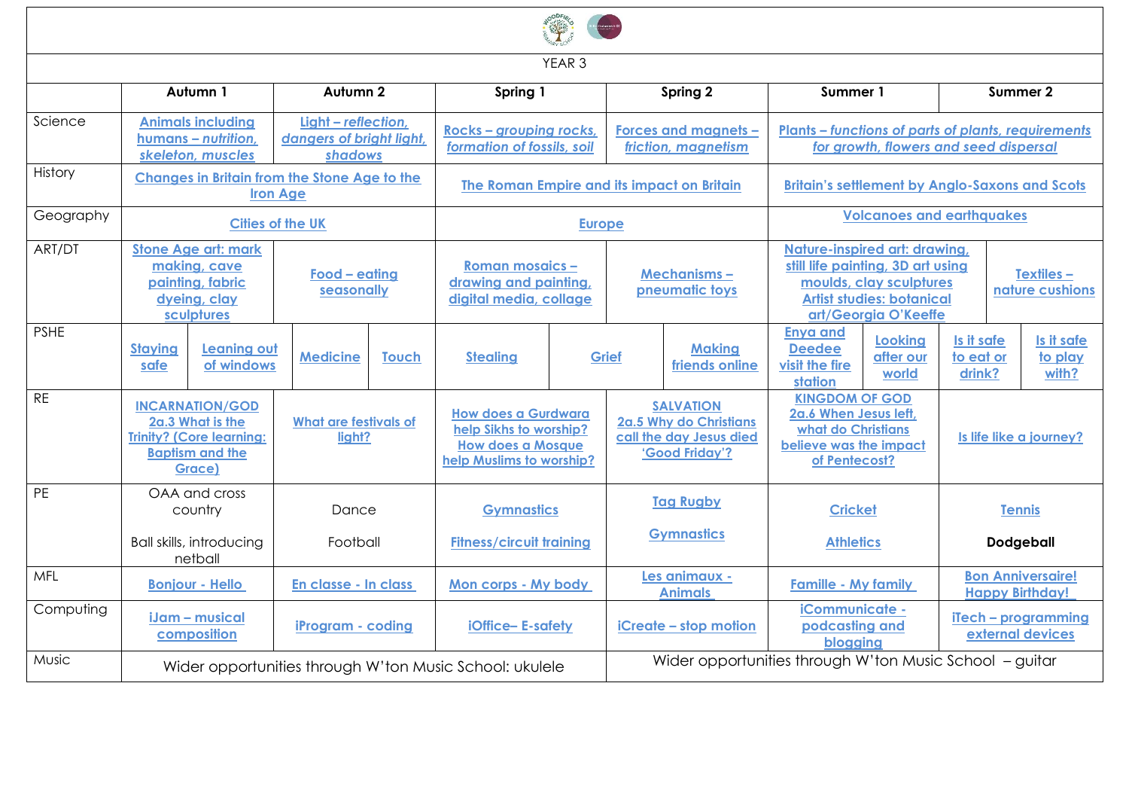|             | YEAR <sub>3</sub>                                                                                                 |                                            |                                                            |              |                                                                           |                                                                                                              |                                                         |                                                                                         |                                                                                                                                                           |                                      |                                                                                                      |                                                    |  |
|-------------|-------------------------------------------------------------------------------------------------------------------|--------------------------------------------|------------------------------------------------------------|--------------|---------------------------------------------------------------------------|--------------------------------------------------------------------------------------------------------------|---------------------------------------------------------|-----------------------------------------------------------------------------------------|-----------------------------------------------------------------------------------------------------------------------------------------------------------|--------------------------------------|------------------------------------------------------------------------------------------------------|----------------------------------------------------|--|
|             |                                                                                                                   | Autumn 1                                   | Autumn <sub>2</sub>                                        | Spring 1     |                                                                           | Spring 2                                                                                                     |                                                         | Summer 1                                                                                |                                                                                                                                                           | Summer 2                             |                                                                                                      |                                                    |  |
| Science     | <b>Animals including</b><br>humans - nutrition,<br>skeleton, muscles                                              |                                            | Light - reflection,<br>dangers of bright light,<br>shadows |              | Rocks - grouping rocks,<br>formation of fossils, soil                     |                                                                                                              | Forces and magnets -<br>friction, magnetism             |                                                                                         |                                                                                                                                                           |                                      | <b>Plants – functions of parts of plants, requirements</b><br>for growth, flowers and seed dispersal |                                                    |  |
| History     | <b>Changes in Britain from the Stone Age to the</b><br><b>Iron Age</b>                                            |                                            |                                                            |              | The Roman Empire and its impact on Britain                                |                                                                                                              |                                                         | <b>Britain's settlement by Anglo-Saxons and Scots</b>                                   |                                                                                                                                                           |                                      |                                                                                                      |                                                    |  |
| Geography   |                                                                                                                   | <b>Cities of the UK</b>                    |                                                            |              | <b>Europe</b>                                                             |                                                                                                              |                                                         |                                                                                         |                                                                                                                                                           | <b>Volcanoes and earthquakes</b>     |                                                                                                      |                                                    |  |
| ART/DT      | <b>Stone Age art: mark</b><br>making, cave<br>painting, fabric<br>dyeing, clay<br>sculptures                      |                                            | Food - eating<br>seasonally                                |              | <b>Roman mosaics -</b><br>drawing and painting,<br>digital media, collage |                                                                                                              | <b>Mechanisms-</b><br>pneumatic toys                    |                                                                                         | Nature-inspired art: drawing,<br>still life painting, 3D art using<br>moulds, clay sculptures<br><b>Artist studies: botanical</b><br>art/Georgia O'Keeffe |                                      |                                                                                                      | <b>Textiles -</b><br>nature cushions               |  |
| <b>PSHE</b> | <b>Staying</b><br>safe                                                                                            | <b>Leaning out</b><br>of windows           | Medicine                                                   | <b>Touch</b> | <b>Stealing</b>                                                           |                                                                                                              | <b>Making</b><br>Grief<br>friends online                |                                                                                         | <b>Enya and</b><br><b>Deedee</b><br>visit the fire<br>station                                                                                             | <b>Looking</b><br>after our<br>world | Is it safe<br>to eat or<br>drink?                                                                    | Is it safe<br>to play<br>with?                     |  |
| <b>RE</b>   | <b>INCARNATION/GOD</b><br>2a.3 What is the<br><b>Trinity? (Core learning:</b><br><b>Baptism and the</b><br>Grace) |                                            | <b>What are festivals of</b><br>liaht?                     |              |                                                                           | <b>How does a Gurdwara</b><br>help Sikhs to worship?<br><b>How does a Mosque</b><br>help Muslims to worship? |                                                         | <b>SALVATION</b><br>2a.5 Why do Christians<br>call the day Jesus died<br>'Good Friday'? | <b>KINGDOM OF GOD</b><br>2a.6 When Jesus left,<br>what do Christians<br>believe was the impact<br>of Pentecost?                                           |                                      | Is life like a journey?                                                                              |                                                    |  |
| <b>PE</b>   | OAA and cross<br>country                                                                                          |                                            | Dance                                                      |              | <b>Gymnastics</b>                                                         |                                                                                                              | <b>Tag Rugby</b>                                        |                                                                                         | <b>Cricket</b>                                                                                                                                            |                                      | <b>Tennis</b>                                                                                        |                                                    |  |
|             |                                                                                                                   | <b>Ball skills, introducing</b><br>netball | Football                                                   |              | <b>Fitness/circuit training</b>                                           |                                                                                                              |                                                         | <b>Gymnastics</b>                                                                       | <b>Athletics</b>                                                                                                                                          |                                      |                                                                                                      | <b>Dodgeball</b>                                   |  |
| MFL         |                                                                                                                   | <b>Bonjour - Hello</b>                     | En classe - In class                                       |              | Mon corps - My body                                                       |                                                                                                              |                                                         | Les animaux -<br><b>Animals</b>                                                         | <b>Famille - My family</b>                                                                                                                                |                                      |                                                                                                      | <b>Bon Anniversaire!</b><br><b>Happy Birthday!</b> |  |
| Computing   |                                                                                                                   | iJam - musical<br>composition              | iProgram - coding                                          |              | iOffice-E-safety                                                          |                                                                                                              | iCreate - stop motion                                   |                                                                                         | iCommunicate -<br>podcasting and<br>blogging                                                                                                              |                                      | iTech - programming<br>external devices                                                              |                                                    |  |
| Music       |                                                                                                                   |                                            |                                                            |              | Wider opportunities through W'ton Music School: ukulele                   |                                                                                                              | Wider opportunities through W'ton Music School - guitar |                                                                                         |                                                                                                                                                           |                                      |                                                                                                      |                                                    |  |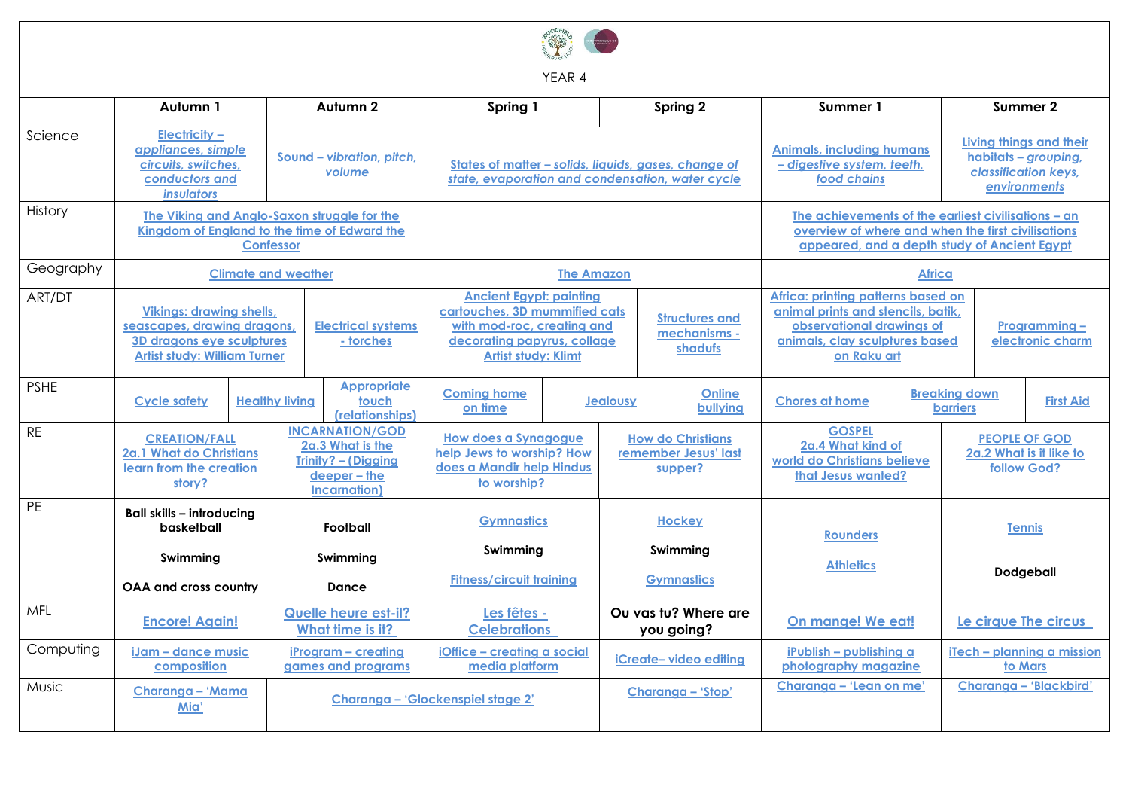| YEAR 4      |                                                                                                                                                                              |                                                                                                                      |                                                                                                                                                            |                                                                                                      |                                                             |                                                                                                                                                           |                      |                                                                                                                                                        |  |                                                                |                        |
|-------------|------------------------------------------------------------------------------------------------------------------------------------------------------------------------------|----------------------------------------------------------------------------------------------------------------------|------------------------------------------------------------------------------------------------------------------------------------------------------------|------------------------------------------------------------------------------------------------------|-------------------------------------------------------------|-----------------------------------------------------------------------------------------------------------------------------------------------------------|----------------------|--------------------------------------------------------------------------------------------------------------------------------------------------------|--|----------------------------------------------------------------|------------------------|
|             | Autumn 1                                                                                                                                                                     | Autumn 2                                                                                                             | Spring 1                                                                                                                                                   |                                                                                                      | Spring 2                                                    |                                                                                                                                                           |                      | Summer 1                                                                                                                                               |  | Summer 2                                                       |                        |
| Science     | <b>Electricity -</b><br>appliances, simple<br>Sound - vibration, pitch,<br>circuits, switches,<br>volume<br>conductors and<br>insulators                                     |                                                                                                                      | States of matter - solids, liquids, gases, change of<br>state, evaporation and condensation, water cycle                                                   |                                                                                                      |                                                             | <b>Animals, including humans</b><br>- digestive system, teeth,<br>food chains                                                                             |                      | Living things and their<br>habitats - grouping,<br>classification keys.<br>environments                                                                |  |                                                                |                        |
| History     | The Viking and Anglo-Saxon struggle for the<br>Kingdom of England to the time of Edward the<br><b>Confessor</b>                                                              |                                                                                                                      |                                                                                                                                                            |                                                                                                      |                                                             | The achievements of the earliest civilisations - an<br>overview of where and when the first civilisations<br>appeared, and a depth study of Ancient Egypt |                      |                                                                                                                                                        |  |                                                                |                        |
| Geography   |                                                                                                                                                                              | <b>Climate and weather</b>                                                                                           |                                                                                                                                                            | <b>The Amazon</b>                                                                                    |                                                             |                                                                                                                                                           |                      | <b>Africa</b>                                                                                                                                          |  |                                                                |                        |
| ART/DT      | <b>Vikings: drawing shells,</b><br>seascapes, drawing dragons,<br><b>Electrical systems</b><br>3D dragons eye sculptures<br>- torches<br><b>Artist study: William Turner</b> |                                                                                                                      | <b>Ancient Egypt: painting</b><br>cartouches, 3D mummified cats<br>with mod-roc, creating and<br>decorating papyrus, collage<br><b>Artist study: Klimt</b> |                                                                                                      | <b>Structures and</b><br>mechanisms -<br>shadufs            |                                                                                                                                                           |                      | Africa: printing patterns based on<br>animal prints and stencils, batik.<br>observational drawings of<br>animals, clay sculptures based<br>on Raku art |  | <u>Programming -</u><br>electronic charm                       |                        |
| <b>PSHE</b> | <b>Cycle safety</b>                                                                                                                                                          | <b>Appropriate</b><br><b>Healthy living</b><br>touch<br>(relationships)                                              | <b>Coming home</b><br>on time                                                                                                                              |                                                                                                      |                                                             | Online<br>Jealousy<br>bullying                                                                                                                            |                      | <b>Chores at home</b>                                                                                                                                  |  | <b>Breaking down</b><br><b>First Aid</b><br><b>barriers</b>    |                        |
| <b>RE</b>   | <b>CREATION/FALL</b><br>2a.1 What do Christians<br>learn from the creation<br>story?                                                                                         | <b>INCARNATION/GOD</b><br>2a.3 What is the<br><b>Trinity? - (Digging</b><br>deeper - the<br><b>Incarnation</b> )     |                                                                                                                                                            | <b>How does a Synagogue</b><br>help Jews to worship? How<br>does a Mandir help Hindus<br>to worship? | <b>How do Christians</b><br>remember Jesus' last<br>supper? |                                                                                                                                                           |                      | <b>GOSPEL</b><br>2a.4 What kind of<br>world do Christians believe<br>that Jesus wanted?                                                                |  | <b>PEOPLE OF GOD</b><br>2a.2 What is it like to<br>follow God? |                        |
| <b>PE</b>   | <b>Ball skills - introducing</b><br>basketball<br>Swimming                                                                                                                   | Football                                                                                                             |                                                                                                                                                            | <b>Gymnastics</b>                                                                                    | <b>Hockey</b><br>Swimming                                   |                                                                                                                                                           |                      | <b>Rounders</b>                                                                                                                                        |  | <b>Tennis</b>                                                  |                        |
|             | <b>OAA and cross country</b>                                                                                                                                                 | Swimming<br><b>Dance</b>                                                                                             | <b>Fitness/circuit training</b>                                                                                                                            |                                                                                                      | <b>Gymnastics</b>                                           |                                                                                                                                                           |                      | <b>Athletics</b>                                                                                                                                       |  | Dodgeball                                                      |                        |
| MFL         | <b>Encore! Again!</b>                                                                                                                                                        | Quelle heure est-il?<br>Ou vas tu? Where are<br>Les fêtes -<br>What time is it?<br><b>Celebrations</b><br>you going? |                                                                                                                                                            |                                                                                                      | On mange! We eat!                                           |                                                                                                                                                           | Le cirque The circus |                                                                                                                                                        |  |                                                                |                        |
| Computing   | iJam - dance music<br>composition                                                                                                                                            | iProgram - creating<br>games and programs                                                                            | iOffice - creating a social<br>media platform                                                                                                              |                                                                                                      | iCreate-video editing                                       |                                                                                                                                                           |                      | iPublish - publishing a<br>photography magazine                                                                                                        |  | iTech - planning a mission<br>to Mars                          |                        |
| Music       | Charanga - 'Mama<br>Mia'                                                                                                                                                     |                                                                                                                      | Charanga - 'Glockenspiel stage 2'                                                                                                                          |                                                                                                      | Charanga - 'Stop'                                           |                                                                                                                                                           |                      | Charanga - 'Lean on me'                                                                                                                                |  |                                                                | Charanga - 'Blackbird' |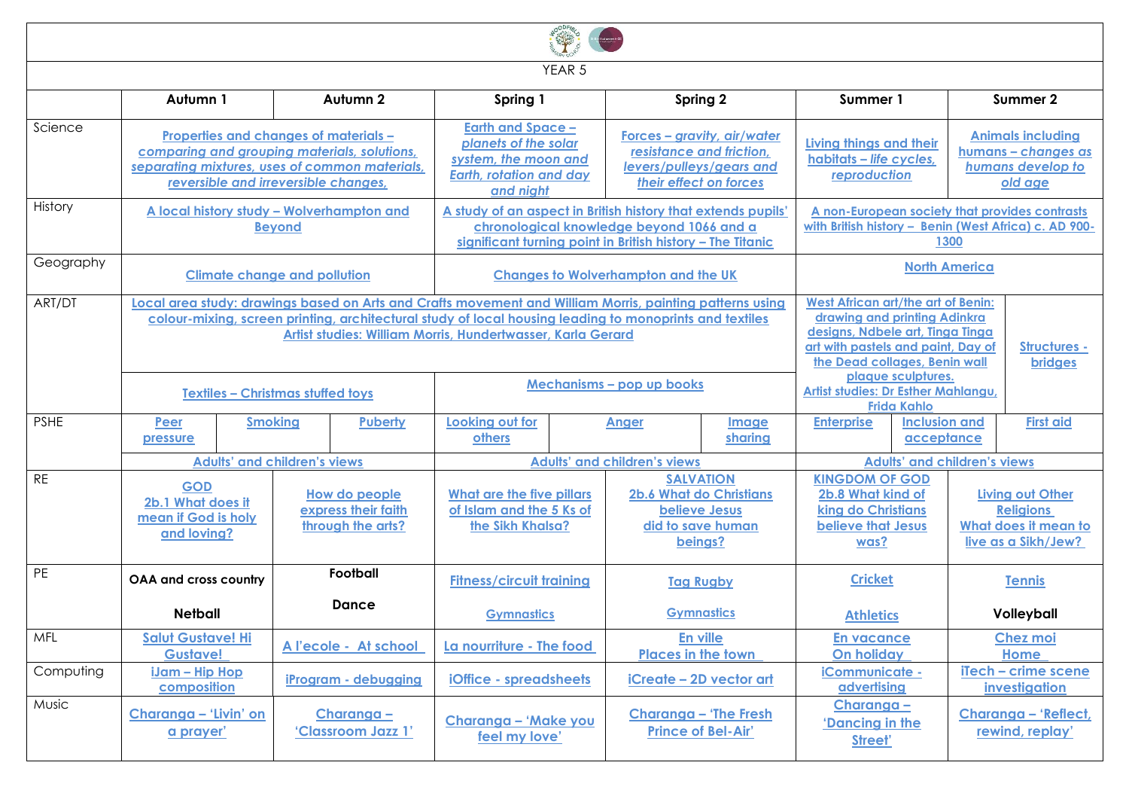|             |                                                                                                                                                                                                                                                                                    |                                     |                                                           |                                                                                                                                                                                                                                          | YEAR 5                                                                                           |                                     |                                                                    |                                                                                                                                                                                                                                              |                                                                                 |                                                                                                       |                                         |  |  |  |                                                                                            |
|-------------|------------------------------------------------------------------------------------------------------------------------------------------------------------------------------------------------------------------------------------------------------------------------------------|-------------------------------------|-----------------------------------------------------------|------------------------------------------------------------------------------------------------------------------------------------------------------------------------------------------------------------------------------------------|--------------------------------------------------------------------------------------------------|-------------------------------------|--------------------------------------------------------------------|----------------------------------------------------------------------------------------------------------------------------------------------------------------------------------------------------------------------------------------------|---------------------------------------------------------------------------------|-------------------------------------------------------------------------------------------------------|-----------------------------------------|--|--|--|--------------------------------------------------------------------------------------------|
|             | Autumn 1                                                                                                                                                                                                                                                                           |                                     | Autumn 2                                                  | Spring 1                                                                                                                                                                                                                                 |                                                                                                  | Spring 2                            |                                                                    | Summer 1                                                                                                                                                                                                                                     |                                                                                 |                                                                                                       | Summer 2                                |  |  |  |                                                                                            |
| Science     | Properties and changes of materials -<br>comparing and grouping materials, solutions,<br>separating mixtures, uses of common materials,<br>reversible and irreversible changes.                                                                                                    |                                     |                                                           | <b>Earth and Space -</b><br>Forces - gravity, air/water<br>planets of the solar<br>resistance and friction,<br>system, the moon and<br>levers/pulleys/gears and<br><b>Earth, rotation and day</b><br>their effect on forces<br>and night |                                                                                                  |                                     | Living things and their<br>habitats - life cycles,<br>reproduction |                                                                                                                                                                                                                                              | <b>Animals including</b><br>humans - changes as<br>humans develop to<br>old age |                                                                                                       |                                         |  |  |  |                                                                                            |
| History     | A local history study - Wolverhampton and<br><b>Beyond</b>                                                                                                                                                                                                                         |                                     |                                                           | A study of an aspect in British history that extends pupils'<br>chronological knowledge beyond 1066 and a<br>significant turning point in British history - The Titanic                                                                  |                                                                                                  |                                     |                                                                    | A non-European society that provides contrasts<br>with British history - Benin (West Africa) c. AD 900-<br>1300                                                                                                                              |                                                                                 |                                                                                                       |                                         |  |  |  |                                                                                            |
| Geography   | <b>Climate change and pollution</b>                                                                                                                                                                                                                                                |                                     |                                                           | <b>Changes to Wolverhampton and the UK</b>                                                                                                                                                                                               |                                                                                                  | <b>North America</b>                |                                                                    |                                                                                                                                                                                                                                              |                                                                                 |                                                                                                       |                                         |  |  |  |                                                                                            |
| ART/DT      | Local area study: drawings based on Arts and Crafts movement and William Morris, painting patterns using<br>colour-mixing, screen printing, architectural study of local housing leading to monoprints and textiles<br>Artist studies: William Morris, Hundertwasser, Karla Gerard |                                     |                                                           |                                                                                                                                                                                                                                          |                                                                                                  |                                     |                                                                    | <b>West African art/the art of Benin:</b><br>drawing and printing Adinkra<br>designs, Ndbele art, Tinga Tinga<br>art with pastels and paint, Day of<br>Structures -<br>the Dead collages, Benin wall<br><b>bridges</b><br>plaque sculptures. |                                                                                 |                                                                                                       |                                         |  |  |  |                                                                                            |
|             | <b>Textiles - Christmas stuffed toys</b>                                                                                                                                                                                                                                           |                                     |                                                           | Mechanisms - pop up books                                                                                                                                                                                                                |                                                                                                  |                                     | <b>Artist studies: Dr Esther Mahlangu</b><br><b>Frida Kahlo</b>    |                                                                                                                                                                                                                                              |                                                                                 |                                                                                                       |                                         |  |  |  |                                                                                            |
| <b>PSHE</b> | Peer<br>pressure                                                                                                                                                                                                                                                                   | <b>Smoking</b>                      | <b>Puberty</b>                                            | Looking out for<br>Anger<br><b>others</b>                                                                                                                                                                                                |                                                                                                  | <b>Image</b><br>sharing             | <b>Enterprise</b><br><b>Inclusion and</b><br>acceptance            |                                                                                                                                                                                                                                              |                                                                                 | <b>First aid</b>                                                                                      |                                         |  |  |  |                                                                                            |
|             |                                                                                                                                                                                                                                                                                    | <b>Adults' and children's views</b> |                                                           |                                                                                                                                                                                                                                          |                                                                                                  | <b>Adults' and children's views</b> |                                                                    |                                                                                                                                                                                                                                              |                                                                                 | <b>Adults' and children's views</b>                                                                   |                                         |  |  |  |                                                                                            |
| <b>RE</b>   | <b>GOD</b><br>2b.1 What does it<br>mean if God is holy<br>and loving?                                                                                                                                                                                                              |                                     | How do people<br>express their faith<br>through the arts? | <b>SALVATION</b><br><b>2b.6 What do Christians</b><br>What are the five pillars<br>of Islam and the 5 Ks of<br><b>believe Jesus</b><br>the Sikh Khalsa?<br>did to save human<br>beings?                                                  |                                                                                                  |                                     |                                                                    |                                                                                                                                                                                                                                              |                                                                                 | <b>KINGDOM OF GOD</b><br>2b.8 What kind of<br>king do Christians<br><b>believe that Jesus</b><br>was? |                                         |  |  |  | <b>Living out Other</b><br><b>Religions</b><br>What does it mean to<br>live as a Sikh/Jew? |
| PE          | <b>OAA and cross country</b>                                                                                                                                                                                                                                                       |                                     | Football                                                  | <b>Fitness/circuit training</b>                                                                                                                                                                                                          |                                                                                                  | <b>Tag Rugby</b>                    |                                                                    | <b>Cricket</b>                                                                                                                                                                                                                               |                                                                                 | <b>Tennis</b>                                                                                         |                                         |  |  |  |                                                                                            |
|             | <b>Netball</b>                                                                                                                                                                                                                                                                     |                                     | <b>Dance</b>                                              | <b>Gymnastics</b>                                                                                                                                                                                                                        |                                                                                                  | <b>Gymnastics</b>                   |                                                                    | <b>Athletics</b>                                                                                                                                                                                                                             |                                                                                 |                                                                                                       | Volleyball                              |  |  |  |                                                                                            |
| <b>MFL</b>  | <b>Salut Gustave! Hi</b><br><b>Gustave!</b>                                                                                                                                                                                                                                        | A l'ecole - At school               |                                                           |                                                                                                                                                                                                                                          | La nourriture - The food                                                                         |                                     | En ville<br><b>Places in the town</b>                              | <b>En vacance</b><br><b>On holiday</b>                                                                                                                                                                                                       |                                                                                 |                                                                                                       | <b>Chez moi</b><br>Home                 |  |  |  |                                                                                            |
| Computing   | <u>iJam – Hip Hop</u><br>composition                                                                                                                                                                                                                                               |                                     | iProgram - debugging                                      |                                                                                                                                                                                                                                          | iCommunicate -<br><b>iOffice - spreadsheets</b><br>iCreate - 2D vector art<br><b>advertising</b> |                                     |                                                                    | iTech - crime scene<br>investigation                                                                                                                                                                                                         |                                                                                 |                                                                                                       |                                         |  |  |  |                                                                                            |
| Music       | Charanga - 'Livin' on<br>a prayer'                                                                                                                                                                                                                                                 |                                     | Charanga -<br>'Classroom Jazz 1'                          | <b>Charanga - 'The Fresh</b><br>Charanga - 'Make you<br><b>Prince of Bel-Air'</b><br>feel my love'                                                                                                                                       |                                                                                                  |                                     |                                                                    | Charanga -<br>'Dancing in the<br>Street'                                                                                                                                                                                                     |                                                                                 |                                                                                                       | Charanga - 'Reflect,<br>rewind, replay' |  |  |  |                                                                                            |